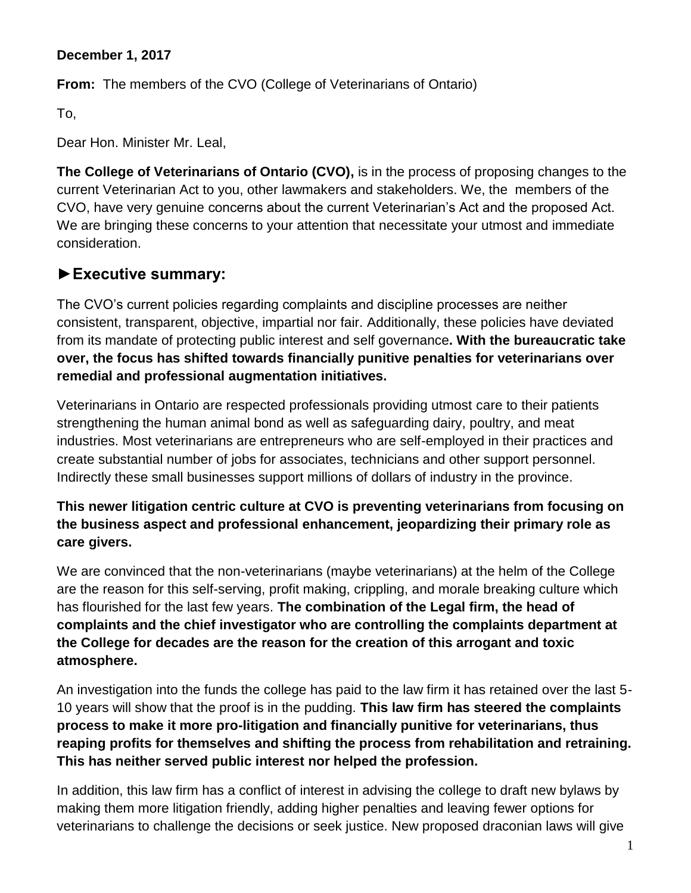#### **December 1, 2017**

**From:** The members of the CVO (College of Veterinarians of Ontario)

To,

Dear Hon. Minister Mr. Leal,

**The College of Veterinarians of Ontario (CVO),** is in the process of proposing changes to the current Veterinarian Act to you, other lawmakers and stakeholders. We, the members of the CVO, have very genuine concerns about the current Veterinarian's Act and the proposed Act. We are bringing these concerns to your attention that necessitate your utmost and immediate consideration.

### **►Executive summary:**

The CVO's current policies regarding complaints and discipline processes are neither consistent, transparent, objective, impartial nor fair. Additionally, these policies have deviated from its mandate of protecting public interest and self governance**. With the bureaucratic take over, the focus has shifted towards financially punitive penalties for veterinarians over remedial and professional augmentation initiatives.**

Veterinarians in Ontario are respected professionals providing utmost care to their patients strengthening the human animal bond as well as safeguarding dairy, poultry, and meat industries. Most veterinarians are entrepreneurs who are self-employed in their practices and create substantial number of jobs for associates, technicians and other support personnel. Indirectly these small businesses support millions of dollars of industry in the province.

### **This newer litigation centric culture at CVO is preventing veterinarians from focusing on the business aspect and professional enhancement, jeopardizing their primary role as care givers.**

We are convinced that the non-veterinarians (maybe veterinarians) at the helm of the College are the reason for this self-serving, profit making, crippling, and morale breaking culture which has flourished for the last few years. **The combination of the Legal firm, the head of complaints and the chief investigator who are controlling the complaints department at the College for decades are the reason for the creation of this arrogant and toxic atmosphere.**

An investigation into the funds the college has paid to the law firm it has retained over the last 5- 10 years will show that the proof is in the pudding. **This law firm has steered the complaints process to make it more pro-litigation and financially punitive for veterinarians, thus reaping profits for themselves and shifting the process from rehabilitation and retraining. This has neither served public interest nor helped the profession.**

In addition, this law firm has a conflict of interest in advising the college to draft new bylaws by making them more litigation friendly, adding higher penalties and leaving fewer options for veterinarians to challenge the decisions or seek justice. New proposed draconian laws will give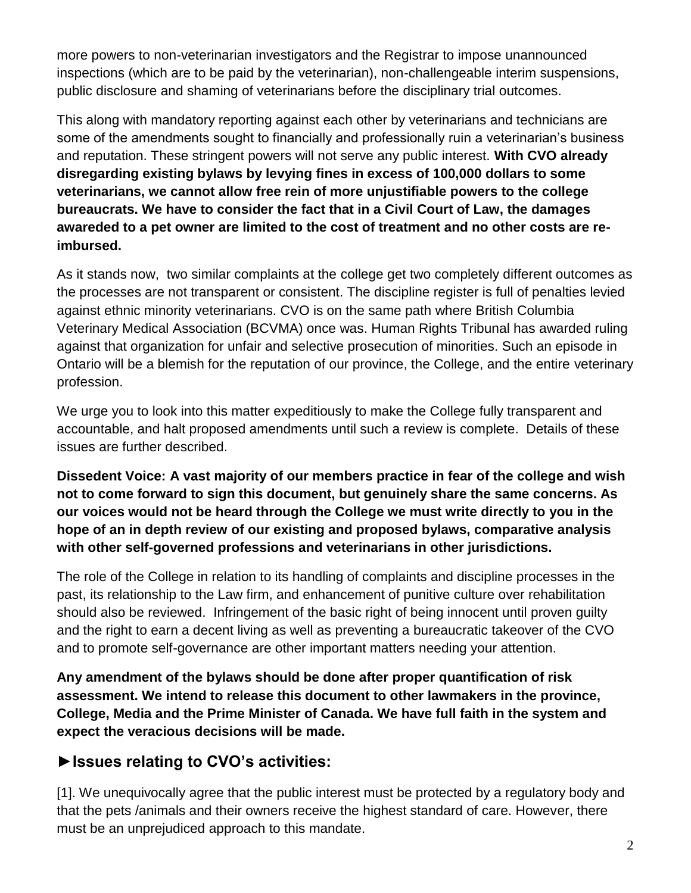more powers to non-veterinarian investigators and the Registrar to impose unannounced inspections (which are to be paid by the veterinarian), non-challengeable interim suspensions, public disclosure and shaming of veterinarians before the disciplinary trial outcomes.

This along with mandatory reporting against each other by veterinarians and technicians are some of the amendments sought to financially and professionally ruin a veterinarian's business and reputation. These stringent powers will not serve any public interest. **With CVO already disregarding existing bylaws by levying fines in excess of 100,000 dollars to some veterinarians, we cannot allow free rein of more unjustifiable powers to the college bureaucrats. We have to consider the fact that in a Civil Court of Law, the damages awareded to a pet owner are limited to the cost of treatment and no other costs are reimbursed.** 

As it stands now, two similar complaints at the college get two completely different outcomes as the processes are not transparent or consistent. The discipline register is full of penalties levied against ethnic minority veterinarians. CVO is on the same path where British Columbia Veterinary Medical Association (BCVMA) once was. Human Rights Tribunal has awarded ruling against that organization for unfair and selective prosecution of minorities. Such an episode in Ontario will be a blemish for the reputation of our province, the College, and the entire veterinary profession.

We urge you to look into this matter expeditiously to make the College fully transparent and accountable, and halt proposed amendments until such a review is complete. Details of these issues are further described.

**Dissedent Voice: A vast majority of our members practice in fear of the college and wish not to come forward to sign this document, but genuinely share the same concerns. As our voices would not be heard through the College we must write directly to you in the hope of an in depth review of our existing and proposed bylaws, comparative analysis with other self-governed professions and veterinarians in other jurisdictions.** 

The role of the College in relation to its handling of complaints and discipline processes in the past, its relationship to the Law firm, and enhancement of punitive culture over rehabilitation should also be reviewed. Infringement of the basic right of being innocent until proven guilty and the right to earn a decent living as well as preventing a bureaucratic takeover of the CVO and to promote self-governance are other important matters needing your attention.

**Any amendment of the bylaws should be done after proper quantification of risk assessment. We intend to release this document to other lawmakers in the province, College, Media and the Prime Minister of Canada. We have full faith in the system and expect the veracious decisions will be made.** 

### ►**Issues relating to CVO's activities:**

[1]. We unequivocally agree that the public interest must be protected by a regulatory body and that the pets /animals and their owners receive the highest standard of care. However, there must be an unprejudiced approach to this mandate.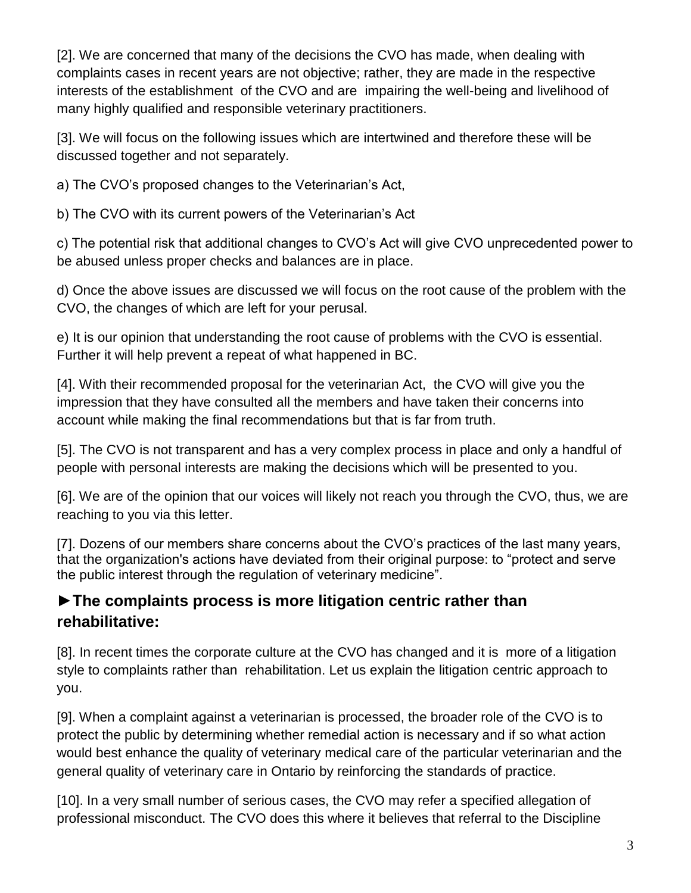[2]. We are concerned that many of the decisions the CVO has made, when dealing with complaints cases in recent years are not objective; rather, they are made in the respective interests of the establishment of the CVO and are impairing the well-being and livelihood of many highly qualified and responsible veterinary practitioners.

[3]. We will focus on the following issues which are intertwined and therefore these will be discussed together and not separately.

a) The CVO's proposed changes to the Veterinarian's Act,

b) The CVO with its current powers of the Veterinarian's Act

c) The potential risk that additional changes to CVO's Act will give CVO unprecedented power to be abused unless proper checks and balances are in place.

d) Once the above issues are discussed we will focus on the root cause of the problem with the CVO, the changes of which are left for your perusal.

e) It is our opinion that understanding the root cause of problems with the CVO is essential. Further it will help prevent a repeat of what happened in BC.

[4]. With their recommended proposal for the veterinarian Act, the CVO will give you the impression that they have consulted all the members and have taken their concerns into account while making the final recommendations but that is far from truth.

[5]. The CVO is not transparent and has a very complex process in place and only a handful of people with personal interests are making the decisions which will be presented to you.

[6]. We are of the opinion that our voices will likely not reach you through the CVO, thus, we are reaching to you via this letter.

[7]. Dozens of our members share concerns about the CVO's practices of the last many years, that the organization's actions have deviated from their original purpose: to "protect and serve the public interest through the regulation of veterinary medicine".

### **►The complaints process is more litigation centric rather than rehabilitative:**

[8]. In recent times the corporate culture at the CVO has changed and it is more of a litigation style to complaints rather than rehabilitation. Let us explain the litigation centric approach to you.

[9]. When a complaint against a veterinarian is processed, the broader role of the CVO is to protect the public by determining whether remedial action is necessary and if so what action would best enhance the quality of veterinary medical care of the particular veterinarian and the general quality of veterinary care in Ontario by reinforcing the standards of practice.

[10]. In a very small number of serious cases, the CVO may refer a specified allegation of professional misconduct. The CVO does this where it believes that referral to the Discipline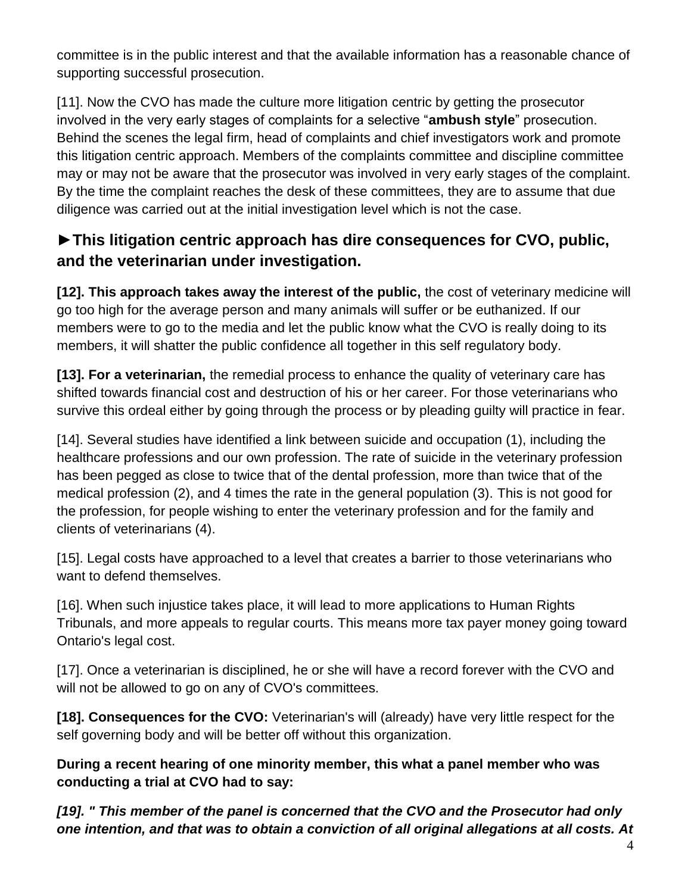committee is in the public interest and that the available information has a reasonable chance of supporting successful prosecution.

[11]. Now the CVO has made the culture more litigation centric by getting the prosecutor involved in the very early stages of complaints for a selective "**ambush style**" prosecution. Behind the scenes the legal firm, head of complaints and chief investigators work and promote this litigation centric approach. Members of the complaints committee and discipline committee may or may not be aware that the prosecutor was involved in very early stages of the complaint. By the time the complaint reaches the desk of these committees, they are to assume that due diligence was carried out at the initial investigation level which is not the case.

### **►This litigation centric approach has dire consequences for CVO, public, and the veterinarian under investigation.**

**[12]. This approach takes away the interest of the public,** the cost of veterinary medicine will go too high for the average person and many animals will suffer or be euthanized. If our members were to go to the media and let the public know what the CVO is really doing to its members, it will shatter the public confidence all together in this self regulatory body.

**[13]. For a veterinarian,** the remedial process to enhance the quality of veterinary care has shifted towards financial cost and destruction of his or her career. For those veterinarians who survive this ordeal either by going through the process or by pleading guilty will practice in fear.

[14]. Several studies have identified a link between suicide and occupation (1), including the healthcare professions and our own profession. The rate of suicide in the veterinary profession has been pegged as close to twice that of the dental profession, more than twice that of the medical profession (2), and 4 times the rate in the general population (3). This is not good for the profession, for people wishing to enter the veterinary profession and for the family and clients of veterinarians (4).

[15]. Legal costs have approached to a level that creates a barrier to those veterinarians who want to defend themselves.

[16]. When such injustice takes place, it will lead to more applications to Human Rights Tribunals, and more appeals to regular courts. This means more tax payer money going toward Ontario's legal cost.

[17]. Once a veterinarian is disciplined, he or she will have a record forever with the CVO and will not be allowed to go on any of CVO's committees.

**[18]. Consequences for the CVO:** Veterinarian's will (already) have very little respect for the self governing body and will be better off without this organization.

**During a recent hearing of one minority member, this what a panel member who was conducting a trial at CVO had to say:**

*[19]. " This member of the panel is concerned that the CVO and the Prosecutor had only one intention, and that was to obtain a conviction of all original allegations at all costs. At*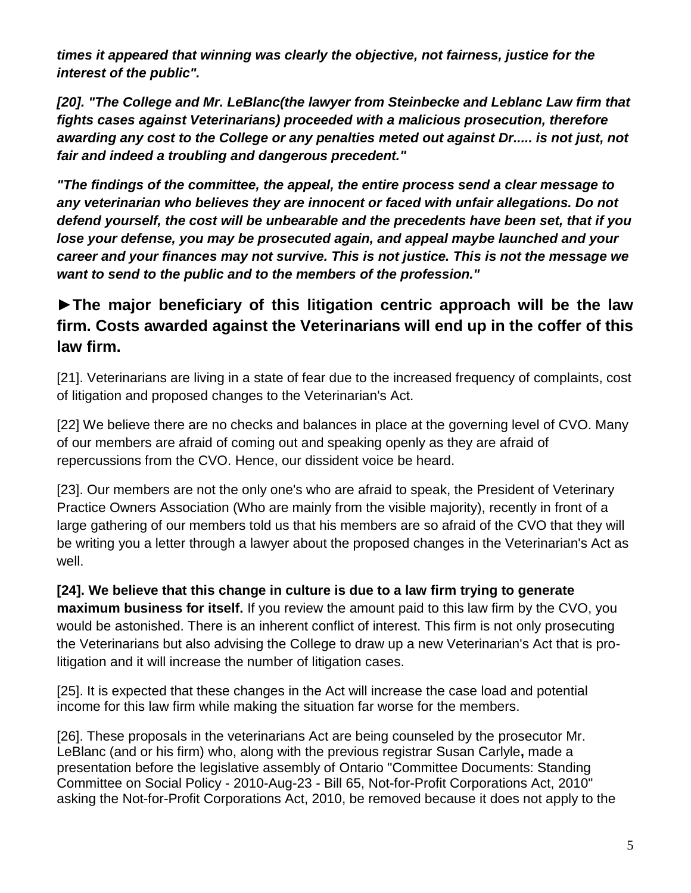*times it appeared that winning was clearly the objective, not fairness, justice for the interest of the public".*

*[20]. "The College and Mr. LeBlanc(the lawyer from Steinbecke and Leblanc Law firm that fights cases against Veterinarians) proceeded with a malicious prosecution, therefore*  awarding any cost to the College or any penalties meted out against Dr..... is not just, not *fair and indeed a troubling and dangerous precedent."*

*"The findings of the committee, the appeal, the entire process send a clear message to any veterinarian who believes they are innocent or faced with unfair allegations. Do not defend yourself, the cost will be unbearable and the precedents have been set, that if you lose your defense, you may be prosecuted again, and appeal maybe launched and your career and your finances may not survive. This is not justice. This is not the message we want to send to the public and to the members of the profession."*

## **►The major beneficiary of this litigation centric approach will be the law firm. Costs awarded against the Veterinarians will end up in the coffer of this law firm.**

[21]. Veterinarians are living in a state of fear due to the increased frequency of complaints, cost of litigation and proposed changes to the Veterinarian's Act.

[22] We believe there are no checks and balances in place at the governing level of CVO. Many of our members are afraid of coming out and speaking openly as they are afraid of repercussions from the CVO. Hence, our dissident voice be heard.

[23]. Our members are not the only one's who are afraid to speak, the President of Veterinary Practice Owners Association (Who are mainly from the visible majority), recently in front of a large gathering of our members told us that his members are so afraid of the CVO that they will be writing you a letter through a lawyer about the proposed changes in the Veterinarian's Act as well.

# **[24]. We believe that this change in culture is due to a law firm trying to generate**

**maximum business for itself.** If you review the amount paid to this law firm by the CVO, you would be astonished. There is an inherent conflict of interest. This firm is not only prosecuting the Veterinarians but also advising the College to draw up a new Veterinarian's Act that is prolitigation and it will increase the number of litigation cases.

[25]. It is expected that these changes in the Act will increase the case load and potential income for this law firm while making the situation far worse for the members.

[26]. These proposals in the veterinarians Act are being counseled by the prosecutor Mr. LeBlanc (and or his firm) who, along with the previous registrar Susan Carlyle**,** made a presentation before the legislative assembly of Ontario "Committee Documents: Standing Committee on Social Policy - 2010-Aug-23 - Bill 65, Not-for-Profit Corporations Act, 2010" asking the Not-for-Profit Corporations Act, 2010, be removed because it does not apply to the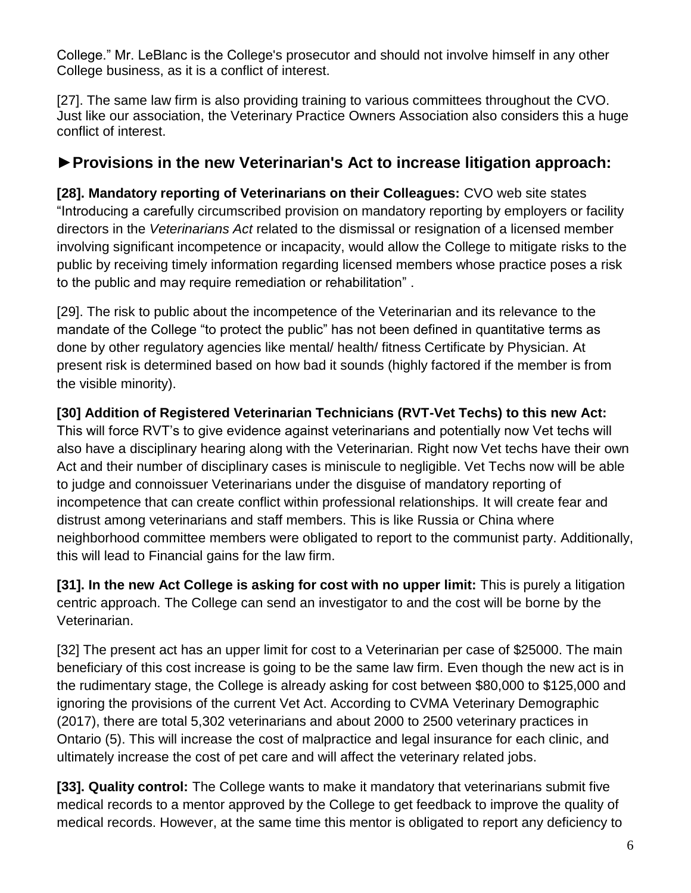College." Mr. LeBlanc is the College's prosecutor and should not involve himself in any other College business, as it is a conflict of interest.

[27]. The same law firm is also providing training to various committees throughout the CVO. Just like our association, the Veterinary Practice Owners Association also considers this a huge conflict of interest.

### **►Provisions in the new Veterinarian's Act to increase litigation approach:**

**[28]. Mandatory reporting of Veterinarians on their Colleagues:** CVO web site states "Introducing a carefully circumscribed provision on mandatory reporting by employers or facility directors in the *Veterinarians Act* related to the dismissal or resignation of a licensed member involving significant incompetence or incapacity, would allow the College to mitigate risks to the public by receiving timely information regarding licensed members whose practice poses a risk to the public and may require remediation or rehabilitation" .

[29]. The risk to public about the incompetence of the Veterinarian and its relevance to the mandate of the College "to protect the public" has not been defined in quantitative terms as done by other regulatory agencies like mental/ health/ fitness Certificate by Physician. At present risk is determined based on how bad it sounds (highly factored if the member is from the visible minority).

**[30] Addition of Registered Veterinarian Technicians (RVT-Vet Techs) to this new Act:**  This will force RVT's to give evidence against veterinarians and potentially now Vet techs will also have a disciplinary hearing along with the Veterinarian. Right now Vet techs have their own Act and their number of disciplinary cases is miniscule to negligible. Vet Techs now will be able to judge and connoissuer Veterinarians under the disguise of mandatory reporting of incompetence that can create conflict within professional relationships. It will create fear and distrust among veterinarians and staff members. This is like Russia or China where neighborhood committee members were obligated to report to the communist party. Additionally, this will lead to Financial gains for the law firm.

**[31]. In the new Act College is asking for cost with no upper limit:** This is purely a litigation centric approach. The College can send an investigator to and the cost will be borne by the Veterinarian.

[32] The present act has an upper limit for cost to a Veterinarian per case of \$25000. The main beneficiary of this cost increase is going to be the same law firm. Even though the new act is in the rudimentary stage, the College is already asking for cost between \$80,000 to \$125,000 and ignoring the provisions of the current Vet Act. According to CVMA Veterinary Demographic (2017), there are total 5,302 veterinarians and about 2000 to 2500 veterinary practices in Ontario (5). This will increase the cost of malpractice and legal insurance for each clinic, and ultimately increase the cost of pet care and will affect the veterinary related jobs.

**[33]. Quality control:** The College wants to make it mandatory that veterinarians submit five medical records to a mentor approved by the College to get feedback to improve the quality of medical records. However, at the same time this mentor is obligated to report any deficiency to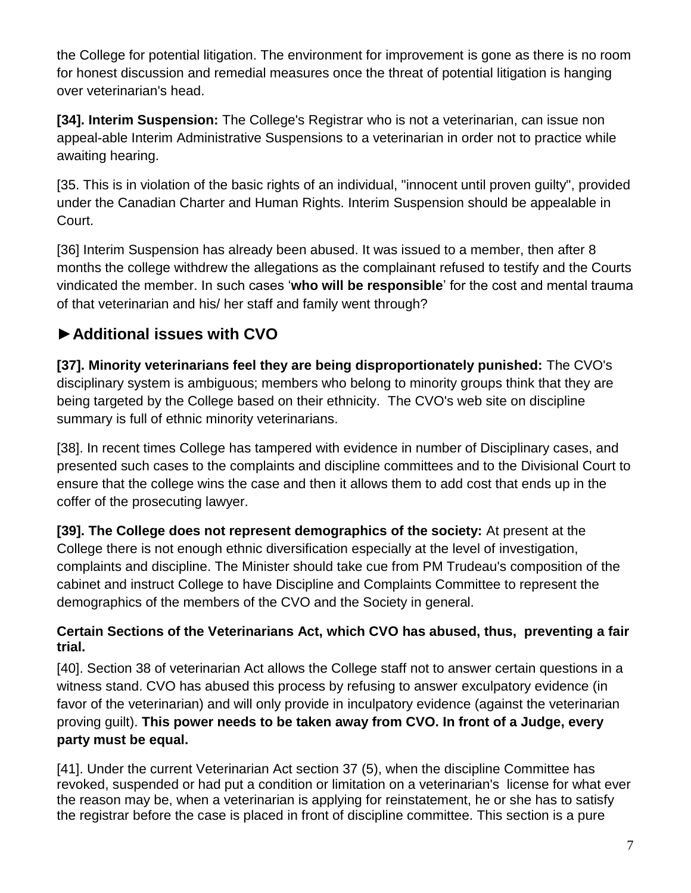the College for potential litigation. The environment for improvement is gone as there is no room for honest discussion and remedial measures once the threat of potential litigation is hanging over veterinarian's head.

**[34]. Interim Suspension:** The College's Registrar who is not a veterinarian, can issue non appeal-able Interim Administrative Suspensions to a veterinarian in order not to practice while awaiting hearing.

[35. This is in violation of the basic rights of an individual, "innocent until proven guilty", provided under the Canadian Charter and Human Rights. Interim Suspension should be appealable in Court.

[36] Interim Suspension has already been abused. It was issued to a member, then after 8 months the college withdrew the allegations as the complainant refused to testify and the Courts vindicated the member. In such cases '**who will be responsible**' for the cost and mental trauma of that veterinarian and his/ her staff and family went through?

## ►**Additional issues with CVO**

**[37]. Minority veterinarians feel they are being disproportionately punished:** The CVO's disciplinary system is ambiguous; members who belong to minority groups think that they are being targeted by the College based on their ethnicity. The CVO's web site on discipline summary is full of ethnic minority veterinarians.

[38]. In recent times College has tampered with evidence in number of Disciplinary cases, and presented such cases to the complaints and discipline committees and to the Divisional Court to ensure that the college wins the case and then it allows them to add cost that ends up in the coffer of the prosecuting lawyer.

**[39]. The College does not represent demographics of the society:** At present at the College there is not enough ethnic diversification especially at the level of investigation, complaints and discipline. The Minister should take cue from PM Trudeau's composition of the cabinet and instruct College to have Discipline and Complaints Committee to represent the demographics of the members of the CVO and the Society in general.

#### **Certain Sections of the Veterinarians Act, which CVO has abused, thus, preventing a fair trial.**

[40]. Section 38 of veterinarian Act allows the College staff not to answer certain questions in a witness stand. CVO has abused this process by refusing to answer exculpatory evidence (in favor of the veterinarian) and will only provide in inculpatory evidence (against the veterinarian proving guilt). **This power needs to be taken away from CVO. In front of a Judge, every party must be equal.**

[41]. Under the current Veterinarian Act section 37 (5), when the discipline Committee has revoked, suspended or had put a condition or limitation on a veterinarian's license for what ever the reason may be, when a veterinarian is applying for reinstatement, he or she has to satisfy the registrar before the case is placed in front of discipline committee. This section is a pure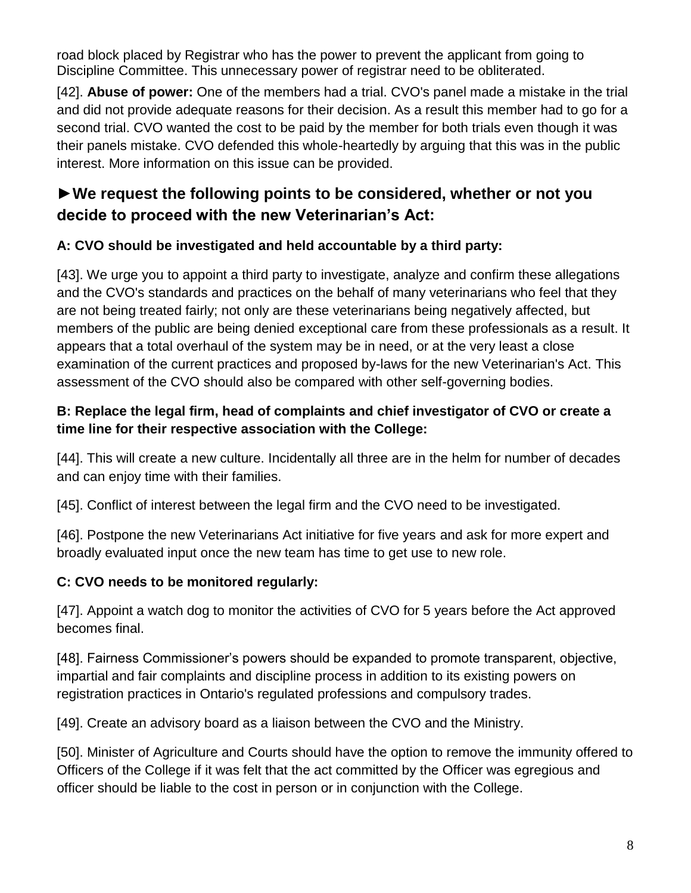road block placed by Registrar who has the power to prevent the applicant from going to Discipline Committee. This unnecessary power of registrar need to be obliterated.

[42]. **Abuse of power:** One of the members had a trial. CVO's panel made a mistake in the trial and did not provide adequate reasons for their decision. As a result this member had to go for a second trial. CVO wanted the cost to be paid by the member for both trials even though it was their panels mistake. CVO defended this whole-heartedly by arguing that this was in the public interest. More information on this issue can be provided.

### **►We request the following points to be considered, whether or not you decide to proceed with the new Veterinarian's Act:**

### **A: CVO should be investigated and held accountable by a third party:**

[43]. We urge you to appoint a third party to investigate, analyze and confirm these allegations and the CVO's standards and practices on the behalf of many veterinarians who feel that they are not being treated fairly; not only are these veterinarians being negatively affected, but members of the public are being denied exceptional care from these professionals as a result. It appears that a total overhaul of the system may be in need, or at the very least a close examination of the current practices and proposed by-laws for the new Veterinarian's Act. This assessment of the CVO should also be compared with other self-governing bodies.

### **B: Replace the legal firm, head of complaints and chief investigator of CVO or create a time line for their respective association with the College:**

[44]. This will create a new culture. Incidentally all three are in the helm for number of decades and can enjoy time with their families.

[45]. Conflict of interest between the legal firm and the CVO need to be investigated.

[46]. Postpone the new Veterinarians Act initiative for five years and ask for more expert and broadly evaluated input once the new team has time to get use to new role.

### **C: CVO needs to be monitored regularly:**

[47]. Appoint a watch dog to monitor the activities of CVO for 5 years before the Act approved becomes final.

[48]. Fairness Commissioner's powers should be expanded to promote transparent, objective, impartial and fair complaints and discipline process in addition to its existing powers on registration practices in Ontario's regulated professions and compulsory trades.

[49]. Create an advisory board as a liaison between the CVO and the Ministry.

[50]. Minister of Agriculture and Courts should have the option to remove the immunity offered to Officers of the College if it was felt that the act committed by the Officer was egregious and officer should be liable to the cost in person or in conjunction with the College.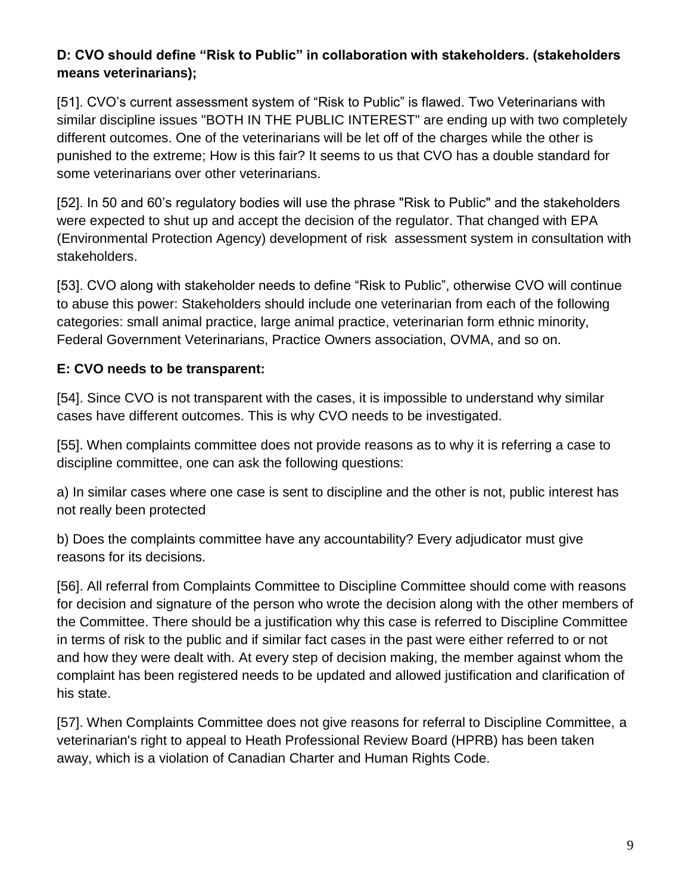### **D: CVO should define "Risk to Public" in collaboration with stakeholders. (stakeholders means veterinarians);**

[51]. CVO's current assessment system of "Risk to Public" is flawed. Two Veterinarians with similar discipline issues "BOTH IN THE PUBLIC INTEREST" are ending up with two completely different outcomes. One of the veterinarians will be let off of the charges while the other is punished to the extreme; How is this fair? It seems to us that CVO has a double standard for some veterinarians over other veterinarians.

[52]. In 50 and 60's regulatory bodies will use the phrase "Risk to Public" and the stakeholders were expected to shut up and accept the decision of the regulator. That changed with EPA (Environmental Protection Agency) development of risk assessment system in consultation with stakeholders.

[53]. CVO along with stakeholder needs to define "Risk to Public", otherwise CVO will continue to abuse this power: Stakeholders should include one veterinarian from each of the following categories: small animal practice, large animal practice, veterinarian form ethnic minority, Federal Government Veterinarians, Practice Owners association, OVMA, and so on.

### **E: CVO needs to be transparent:**

[54]. Since CVO is not transparent with the cases, it is impossible to understand why similar cases have different outcomes. This is why CVO needs to be investigated.

[55]. When complaints committee does not provide reasons as to why it is referring a case to discipline committee, one can ask the following questions:

a) In similar cases where one case is sent to discipline and the other is not, public interest has not really been protected

b) Does the complaints committee have any accountability? Every adjudicator must give reasons for its decisions.

[56]. All referral from Complaints Committee to Discipline Committee should come with reasons for decision and signature of the person who wrote the decision along with the other members of the Committee. There should be a justification why this case is referred to Discipline Committee in terms of risk to the public and if similar fact cases in the past were either referred to or not and how they were dealt with. At every step of decision making, the member against whom the complaint has been registered needs to be updated and allowed justification and clarification of his state.

[57]. When Complaints Committee does not give reasons for referral to Discipline Committee, a veterinarian's right to appeal to Heath Professional Review Board (HPRB) has been taken away, which is a violation of Canadian Charter and Human Rights Code.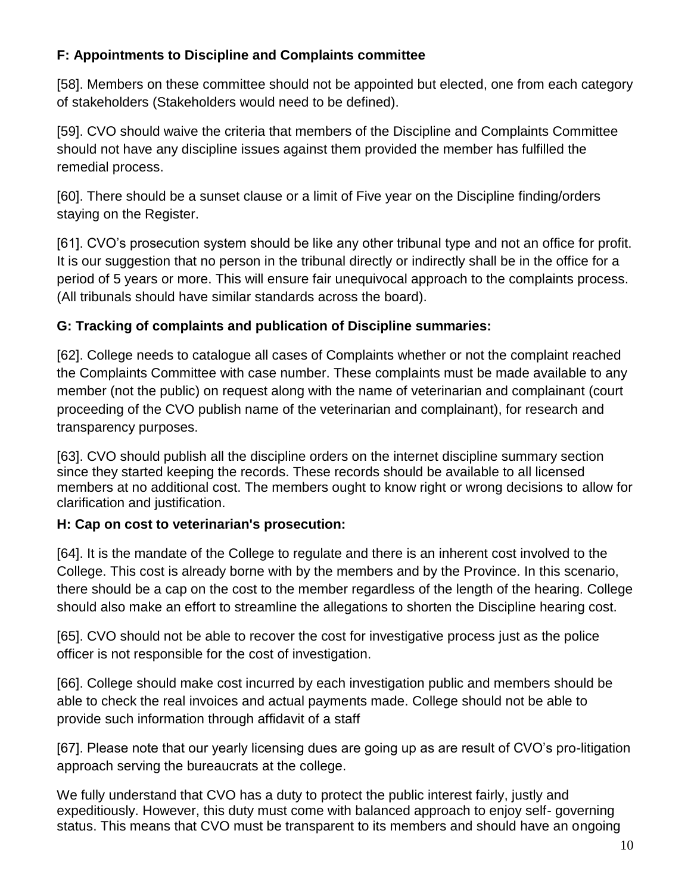### **F: Appointments to Discipline and Complaints committee**

[58]. Members on these committee should not be appointed but elected, one from each category of stakeholders (Stakeholders would need to be defined).

[59]. CVO should waive the criteria that members of the Discipline and Complaints Committee should not have any discipline issues against them provided the member has fulfilled the remedial process.

[60]. There should be a sunset clause or a limit of Five year on the Discipline finding/orders staying on the Register.

[61]. CVO's prosecution system should be like any other tribunal type and not an office for profit. It is our suggestion that no person in the tribunal directly or indirectly shall be in the office for a period of 5 years or more. This will ensure fair unequivocal approach to the complaints process. (All tribunals should have similar standards across the board).

### **G: Tracking of complaints and publication of Discipline summaries:**

[62]. College needs to catalogue all cases of Complaints whether or not the complaint reached the Complaints Committee with case number. These complaints must be made available to any member (not the public) on request along with the name of veterinarian and complainant (court proceeding of the CVO publish name of the veterinarian and complainant), for research and transparency purposes.

[63]. CVO should publish all the discipline orders on the internet discipline summary section since they started keeping the records. These records should be available to all licensed members at no additional cost. The members ought to know right or wrong decisions to allow for clarification and justification.

#### **H: Cap on cost to veterinarian's prosecution:**

[64]. It is the mandate of the College to regulate and there is an inherent cost involved to the College. This cost is already borne with by the members and by the Province. In this scenario, there should be a cap on the cost to the member regardless of the length of the hearing. College should also make an effort to streamline the allegations to shorten the Discipline hearing cost.

[65]. CVO should not be able to recover the cost for investigative process just as the police officer is not responsible for the cost of investigation.

[66]. College should make cost incurred by each investigation public and members should be able to check the real invoices and actual payments made. College should not be able to provide such information through affidavit of a staff

[67]. Please note that our yearly licensing dues are going up as are result of CVO's pro-litigation approach serving the bureaucrats at the college.

We fully understand that CVO has a duty to protect the public interest fairly, justly and expeditiously. However, this duty must come with balanced approach to enjoy self- governing status. This means that CVO must be transparent to its members and should have an ongoing